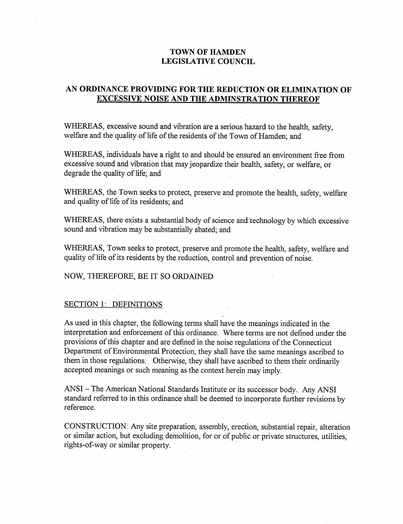# **TOWN OF HAMDEN** LEGISLATIVE COUNCIL

# AN ORDINANCE PROVIDING FOR THE REDUCTION OR ELIMINATION OF EXCESSIVE NOISE AND THE ADMINSTRATION THEREOF

WHEREAS, excessive sound and vibration are a serious hazard to the health, safety, welfare and the quality of life of the residents of the Town of Hamden; and

~WI-IEREAS, individuals have a fight to and should be ensured an environment free from excessive sound and vibration that may jeopardize their health, safety, or welfare, or degrade the quality of life; and

WHEREAS, the Town seeks to protect, preserve and promote the health, safety, welfare and quality of life of its residents; and

WHEREAS, there exists a substantial body of science and technology by which excessive sound and vibration may be substantially abated; and

WHEREAS, Town seeks to protect, preserve and promote the health, safety, welfare and quality of life of its residents by the reduction, control and prevention of noise.

### NOW, THEREFORE, BE IT SO ORDAINED

#### SECTION 1: DEFINITIONS

As used in this chapter, the following terms shall have the meanings indicated in the interpretation and enforcement of this ordinance. Where terms are not defined under the provisions of this chapter and are defined in the noise regulations of the Connecticut Department of Environmental Protection, they shall have the same meanings ascribed to them in those regulations. Otherwise, they shall have ascribed to them their ordinarily accepted meanings or such meaning as the context herein may imply.

ANSI- The American National Standards Institute or its successor body. Any ANSI standard referred to in this ordinance shall be deemed to incorporate further revisions by reference.

CONSTRUCTION: Any site preparation, assembly, erection, substantial repair, alteration or similar action, but excluding demolition, for or of public or private structures, utilities, rights-of-way or similar property.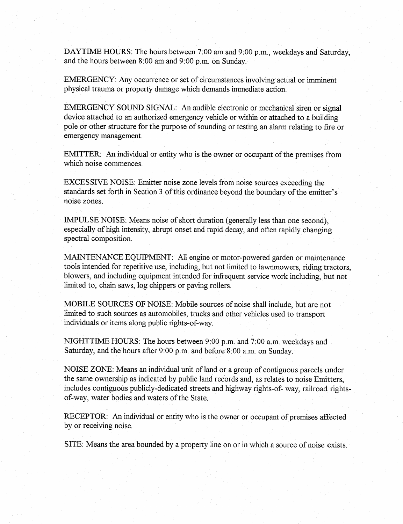DAYTIME HOURS: The hours between 7:00 am and 9:00 p.m., weekdays and Saturday, and the hours between 8:00 am and 9:00 p.m. on Sunday.

EMERGENCY: Any occurrence or set of circumstances involving actual or imminent physical trauma or property damage which demands immediate action.

EMERGENCY SOUND SIGNAL: An audible electronic or mechanical siren or signal device attached to an authorized emergency vehicle or within or attached to a building pole or other structure for the purpose of sounding or testing an alarm relating to fire or emergency management.

EMITTER: An individual or entity who is the owner or occupant of the premises from which noise commences.

EXCESSIVE NOISE: Emitter noise zone levels from noise sources exceeding the standards set forth in Section 3 of this ordinance beyond the boundary of the emitter's noise zones.

IMPULSE NOISE: Means noise of short duration (generally less than one second), especially of high intensity, abrupt onset and rapid decay, and often rapidly changing spectral composition.

MAINTENANCE EQUIPMENT: All engine or motor-powered garden or maintenance tools intended for repetitive use, including, but not limited to lawnmowers, riding tractors, blowers, and including equipment intended for infrequent service work including, but not limited to, chain saws, log chippers or paving rollers.

MOBILE SOURCES OF NOISE: Mobile sources of noise shall include, but are not limited to such sources as automobiles, trucks and other vehicles used to transport individuals or items along public rights-of-way.

NIGHTTIME HOURS: The hours between 9:00 p.m. and 7:00 a.m. weekdays and Saturday, and the hours after 9:00 p.m. and before 8:00 a.m. on Sunday.

NOISE ZONE: Means an individual unit of land or a group of contiguous parcels under the same ownership as indicated by public land records and, as relates to noise Emitters, includes contiguous publicly-dedicated streets and highway rights-of- way, railroad rightsof-way, water bodies and waters of the State.

RECEPTOR: An individual or entity who is the owner or occupant of premises affected by or receiving noise.

SITE: Means the area bounded by a property line on or in which a source of noise exists.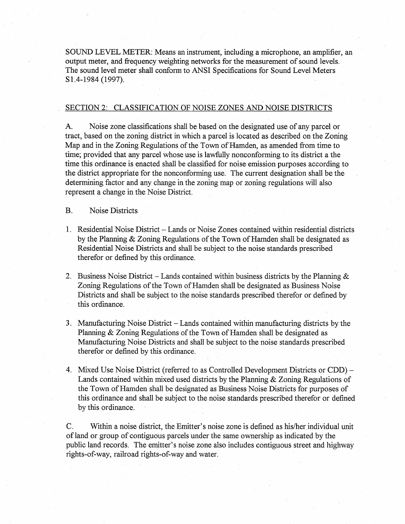SOUND LEVEL METER: Means an instrument, including a microphone, an amplifier, an output meter, and frequency weighting networks for the measurement of sound levels. The sound level meter shall conform to ANSI Specifications for Sound Level Meters S1.4-1984 (1997).

## SECTION 2: CLASSIFICATION OF NOISE ZONES AND NOISE DISTRICTS

A. Noise zone classifications shall be based on the designated use of any parcel or tract, based on the zoning district in which a parcel is located as described on the Zoning Map and in the Zoning Regulations of the Town of Hamden, as amended from time to time; provided that any parcel whose use is lawfully nonconforming to its district a the time this ordinance is enacted shall be classified for noise emission purposes according to the district appropriate for the nonconforming use. The current designation shall be the determining factor and any change in the zoning map or zoning regulations will also represent a change in the Noise District.

## B. Noise Districts

- 1. Residential Noise District Lands or Noise Zones contained within residential districts by the Planning & Zoning Regulations of the Town of Hamden shall be designated as Residential Noise Districts and shall be subject to the noise standards prescribed therefor or defined by this ordinance.
- 2. Business Noise District Lands contained within business districts by the Planning  $\&$ Zoning Regulations of the Town of Hamden shall be designated as Business Noise Districts and shall be subject to the noise standards prescribed therefor or defined by this ordinance.
- 3. Manufacturing Noise District Lands contained within manufacturing districts by the Planning & Zoning Regulations of the Town of Hamden shall be designated as Manufacturing Noise Districts and shall be subject to the noise standards prescribed therefor or defined by this ordinance.
- 4. Mixed Use Noise District (referred to as Controlled Development Districts or CDD) Lands contained within mixed used districts by the Planning & Zoning Regulations of the Town of Hamden shall-be designated as Business Noise Districts for purposes of this ordinance and shall be subject to the noise standards prescribed therefor or defined by this ordinance.

C. Within a noise district, the Emitter's noise zone is defined as his/her individual unit of land or group of contiguous parcels under the same ownership as indicated by the public land records. The emitter's noise zone also includes contiguous street and highway rights-of-way, railroad rights-of-way and water.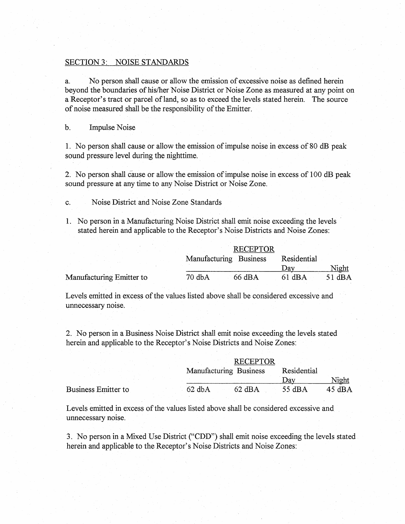#### SECTION 3: NOISE STANDARDS

a. No person shall cause or allow the emission of excessive noise as defined herein beyond the boundaries of his/her Noise District or Noise Zone as measured at any point on a Receptor's tract or parcel of land, so as to exceed the levels stated herein. The source of noise measured shall be the responsibility of the Emitter.

#### b. Impulse Noise

1. No person shall cause or allow the emission of impulse noise in excess of 80 dB peak sound pressure level during the nighttime.

2. No person shall (ause or allow the emission of impulse noise in excess of 100 dB peak sound pressure at any time to any Noise District or Noise Zone.

- c. Noise District and Noise Zone Standards
- 1. No person in a Manufacturing Noise District shall emit noise exceeding the levels stated herein and applicable to the Receptor's Noise Districts and Noise Zones:

|                          | <b>RECEPTOR</b>        |             |        |
|--------------------------|------------------------|-------------|--------|
|                          | Manufacturing Business | Residential |        |
|                          |                        | Dav         | Night  |
| Manufacturing Emitter to | 70 dbA<br>66 dBA       | 61 dBA      | 51 dBA |

Levels emitted in excess of the values listed above shall be considered excessive and unnecessary noise.

2. No person in a Business Noise District shall emit noise exceeding the levels stated herein and applicable to the Receptor's Noise Districts and Noise Zones:

|                     | <b>RECEPTOR</b>              |                  |                 |
|---------------------|------------------------------|------------------|-----------------|
|                     | Manufacturing Business       | Residential      |                 |
|                     |                              | $\lambda$ av     | Night           |
| Business Emitter to | $62$ dbA<br>$62 \text{ dBA}$ | $55 \text{ dBA}$ | $45 \text{ dB}$ |

Levels emitted in excess of the values listed above shall be considered excessive and unnecessary noise.

3. No person in a Mixed Use District ("CDD") shall emit noise exceeding the levels stated herein and applicable to the Receptor's Noise Districts and Noise Zones: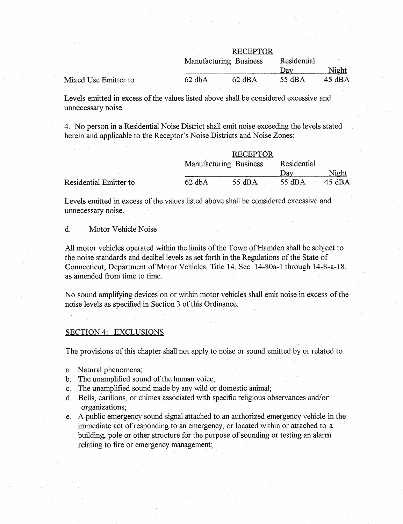|                      |          | <b>RECEPTOR</b>        |             |                  |
|----------------------|----------|------------------------|-------------|------------------|
|                      |          | Manufacturing Business | Residential |                  |
|                      |          |                        | )ax         | Night            |
| Mixed Use Emitter to | $62$ dbA | $62$ dBA               | 55 dBA      | $45 \text{ dBA}$ |

Levels emitted in excess of the values listed above shall be considered excessive and unnecessary noise.

4. No person in a Residential Noise District shall emit noise exceeding the levels stated herein and applicable to the Receptor's Noise Districts and Noise Zones:

|                        | <b>RECEPTOR</b>        |             |        |
|------------------------|------------------------|-------------|--------|
|                        | Manufacturing Business | Residential |        |
|                        |                        | Jav         | Night  |
| Residential Emitter to | $62$ dbA<br>55 dBA     | 55 $dBA$    | 45 dBA |

Levels emitted in excess of the values listed above shall be considered excessive and unnecessary noise.

d. Motor Vehicle Noise

All motor vehicles operated within the limits of the Town of Hamden shall be subject to the noise standards and decibel levels as set forth in the Regulations of the State of Connecticut, Department of Motor Vehicles, Title 14, Sec. 14-80a-1 through 14-8-a-18, as amended from time to time.

No sound amplifying devices on or within motor vehicles shall emit noise in excess of the noise levels as specified in Section 3 of this Ordinance.

### SECTION 4: EXCLUSIONS

The provisions of this chapter shall not apply to noise or sound emitted by or related to:

- a. Natural phenomena;
- b. The unamplified sound of the human voice;
- c. The unamplified sound made by any wild or domestic animal;
- d. Bells, carillons, or chimes associated with specific religious observances and/or organizations;
- e. A public emergency sound signal attached to an authorized emergency vehicle in the immediate act of responding to an emergency, or located within or attached to a building, pole or other structure for the purpose of sounding or testing an alarm relating to fire or emergency management;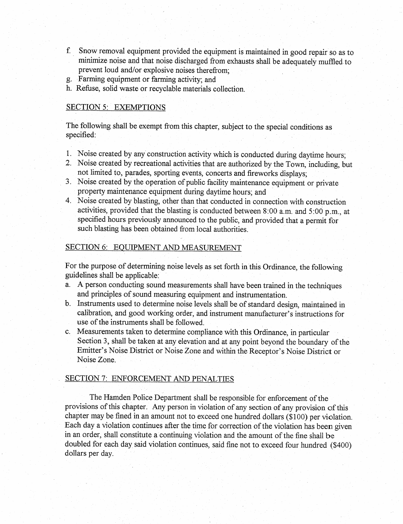- f. Snow removal equipment provided the equipment is maintained in good repair so as to minimize noise and that noise discharged from exhausts shall be adequately muffled-to prevent loud and/or explosive noises therefrom;
- g..Farming equipment or farming activity; and
- h. Refuse, solid waste or recyclable materials collection.

# SECTION 5: EXEMPTIONS

The following shall be exempt from this chapter, subject to the special conditions as specified:

- 1. Noise created by any construction activity which is conducted during daytime hours;
- 2. Noise created by recreational activities that are authorized by-the Town, including, but not limited to, parades, sporting events, concerts and fireworks displays;
- 3. Noise created by the operation of public facility maintenance equipment or private property maintenance equipment during daytime hours; and
- 4. Noise created by blasting, other than that conducted in connection with construction activities, provided that the blasting is conducted between 8:00 a.m. and 5:00 p.m., at specified hours previously announced to the public, and provided that a permit for such blasting has been obtained from local authorities.

# SECTION 6: EQUIPMENT AND MEASUREMENT

For the purpose of determining noise levels as set forth in this Ordinance, the following guidelines shall be applicable:

- a. A person conducting sound measurements shall have been trained in the techniques and principles of sound measuring equipment and instrumentation.
- b. Instruments used to determine noise levels shall be of standard design, maintained in calibration, and good working order, and instrument manufacturer's instructions for use of the instruments shall be followed.
- c. Measurements taken to determine compliance with this Ordinance, in particular Section 3, shall be taken at any elevation and at any point beyond the boundary of the Emitter's Noise District or Noise Zone and within the Receptor's Noise District or Noise Zone.

## SECTION 7: ENFORCEMENT AND PENALTIES

The Hamden Police Department shall be responsible for enforcement of the provisions of this chapter. Any person in violation of any section of any provision of this chapter may be fined in an amount not to exceed one hundred dollars (\$100) per violation. Each day a violation continues after the time for correction of the violation has been given in an order, shall constitute a continuing violation and the amount of the fine shall be doubled for each day said violation continues, said fine not to exceed four hundred (\$400) dollars per day.